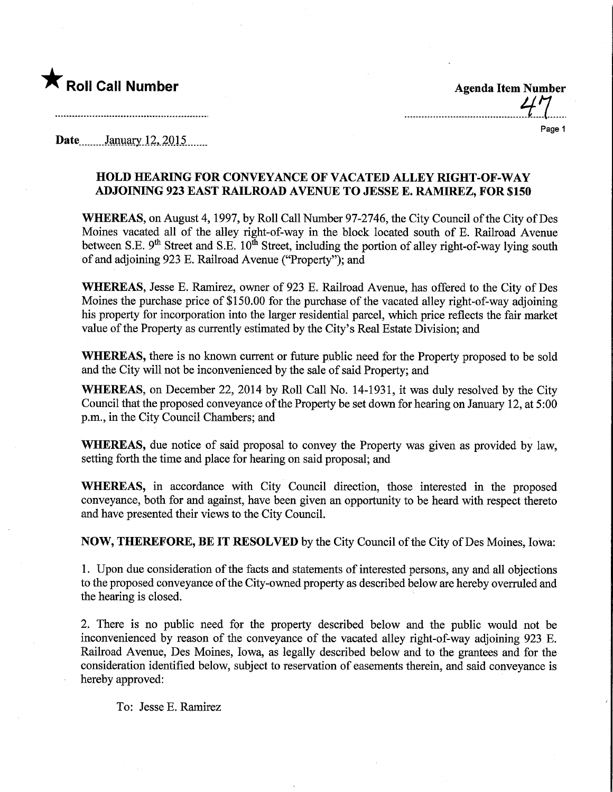

Page 1

Date........January.l2,.2Q1.5.

## HOLD HEARING FOR CONVEYANCE OF VACATED ALLEY RIGHT-OF-WAY ADJOINING 923 EAST RAILROAD AVENUE TO JESSE E. RAMIREZ, FOR \$150

WHEREAS, on August 4, 1997, by Roll Call Number 97-2746, the City Council of the City of Des Moines vacated all of the alley right-of-way in the block located south of E. Railroad Avenue between S.E. 9<sup>th</sup> Street and S.E.  $10^{th}$  Street, including the portion of alley right-of-way lying south of and adjoining 923 E. Railroad Avenue ("Property"); and

WHEREAS, Jesse E. Ramirez, owner of 923 E. Railroad Avenue, has offered to the City of Des Moines the purchase price of \$150.00 for the purchase of the vacated alley right-of-way adjoining his property for incorporation into the larger residential parcel, which price reflects the fair market value of the Property as currently estimated by the City's Real Estate Division; and

WHEREAS, there is no known current or future public need for the Property proposed to be sold and the City will not be inconvenienced by the sale of said Property; and

WHEREAS, on December 22, 2014 by Roll Call No. 14-1931, it was duly resolved by the City Council that the proposed conveyance of the Property be set down for hearing on January 12, at 5:00 p.m., in the City Council Chambers; and

WHEREAS, due notice of said proposal to convey the Property was given as provided by law, setting forth the time and place for hearing on said proposal; and

WHEREAS, in accordance with City Council direction, those interested in the proposed conveyance, both for and against, have been given an opportunity to be heard with respect thereto and have presented their views to the City Council.

NOW, THEREFORE, BE IT RESOLVED by the City Council of the City of Des Moines, Iowa:

1. Upon due consideration of the facts and statements of interested persons, any and all objections to the proposed conveyance of the City-owned property as described below are hereby overruled and the hearing is closed.

2. There is no public need for the property described below and the public would not be inconvenienced by reason of the conveyance of the vacated alley right-of-way adjoining 923 E. Railroad Avenue, Des Moines, Iowa, as legally described below and to the grantees and for the consideration identified below, subject to reservation of easements therein, and said conveyance is hereby approved:

To: Jesse E. Ramirez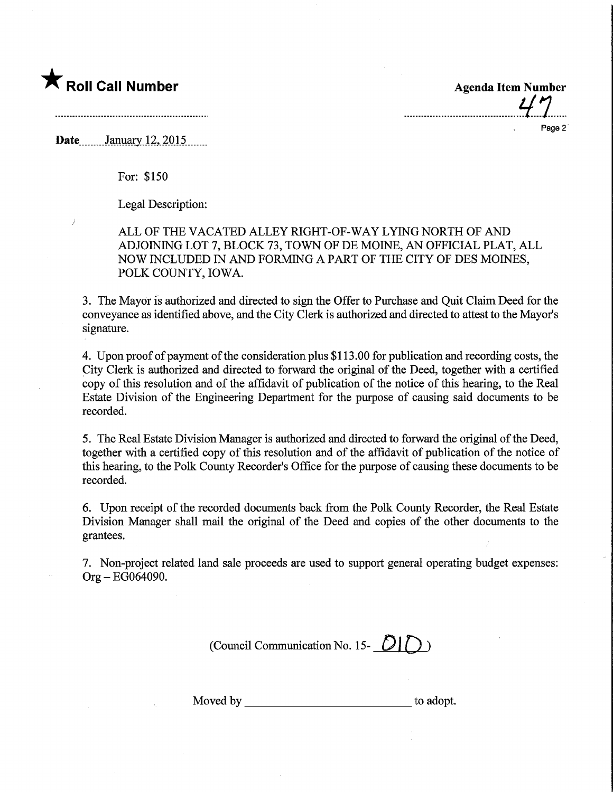## **The Call Number Agents Collection** Call Number Agenda Item Number

Page 2

Date........January.12, 2015.......

For: \$150

Legal Description:

ALL OF THE VACATED ALLEY RIGHT-OF-WAY LYING NORTH OF AND ADJOINING LOT 7, BLOCK 73, TOWN OF DE MOINE, AN OFFICIAL PLAT, ALL NOW INCLUDED IN AND FORMING A PART OF THE CITY OF DES MOINES, POLK COUNTY, IOWA.

3. The Mayor is authorized and directed to sign the Offer to Purchase and Quit Claim Deed for the conveyance as identified above, and the City Clerk is authorized and directed to attest to the Mayor's signature.

4. Upon proof of payment of the consideration plus \$113.00 for publication and recording costs, the City Clerk is authorized and directed to forward the original of the Deed, together with a certified copy of this resolution and of the affidavit of publication of the notice of this hearing, to the Real Estate Division of the Engineering Department for the purpose of causing said documents to be recorded.

5. The Real Estate Division Manager is authorized and directed to forward the original of the Deed, together with a certified copy of this resolution and of the affidavit of publication of the notice of this hearing, to the Polk County Recorder's Office for the purpose of causing these documents to be recorded.

6. Upon receipt of the recorded documents back from the Polk County Recorder, the Real Estate Division Manager shall mail the original of the Deed and copies of the other documents to the grantees.

7. Non-project related land sale proceeds are used to support general operating budget expenses: Org-EG064090.

(Council Communication No. 15- $\frac{\mathcal{O}(\bigcap)}{\bigcap}$ )

Moved by to adopt.